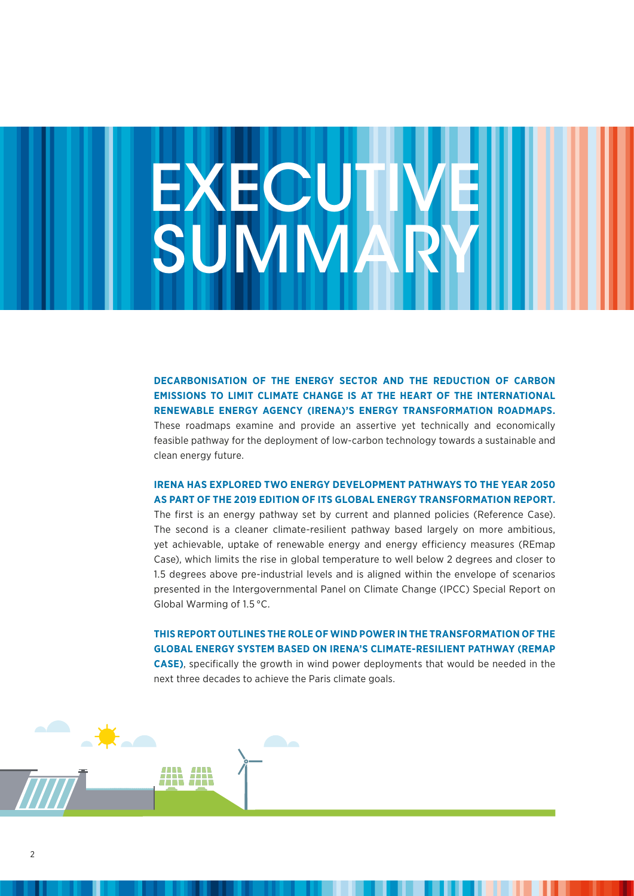# **EXECUTIVEI** SUMMARY

**DECARBONISATION OF THE ENERGY SECTOR AND THE REDUCTION OF CARBON EMISSIONS TO LIMIT CLIMATE CHANGE IS AT THE HEART OF THE INTERNATIONAL RENEWABLE ENERGY AGENCY (IRENA)'S ENERGY TRANSFORMATION ROADMAPS.** These roadmaps examine and provide an assertive yet technically and economically feasible pathway for the deployment of low-carbon technology towards a sustainable and clean energy future.

# **IRENA HAS EXPLORED TWO ENERGY DEVELOPMENT PATHWAYS TO THE YEAR 2050 AS PART OF THE 2019 EDITION OF ITS GLOBAL ENERGY TRANSFORMATION REPORT.**

The first is an energy pathway set by current and planned policies (Reference Case). The second is a cleaner climate-resilient pathway based largely on more ambitious, yet achievable, uptake of renewable energy and energy efficiency measures (REmap Case), which limits the rise in global temperature to well below 2 degrees and closer to 1.5 degrees above pre-industrial levels and is aligned within the envelope of scenarios presented in the Intergovernmental Panel on Climate Change (IPCC) Special Report on Global Warming of 1.5 °C.

**THIS REPORT OUTLINES THE ROLE OF WIND POWER IN THE TRANSFORMATION OF THE GLOBAL ENERGY SYSTEM BASED ON IRENA'S CLIMATE-RESILIENT PATHWAY (REMAP CASE)**, specifically the growth in wind power deployments that would be needed in the next three decades to achieve the Paris climate goals.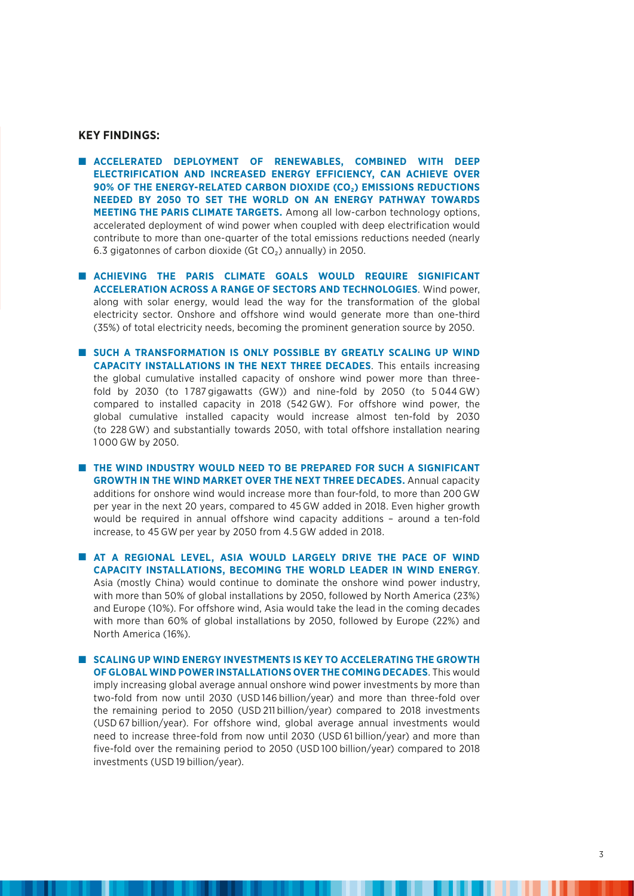#### **KEY FINDINGS:**

- n **ACCELERATED DEPLOYMENT OF RENEWABLES, COMBINED WITH DEEP ELECTRIFICATION AND INCREASED ENERGY EFFICIENCY, CAN ACHIEVE OVER 90% OF THE ENERGY-RELATED CARBON DIOXIDE (CO<sub>2</sub>) EMISSIONS REDUCTIONS NEEDED BY 2050 TO SET THE WORLD ON AN ENERGY PATHWAY TOWARDS MEETING THE PARIS CLIMATE TARGETS.** Among all low-carbon technology options, accelerated deployment of wind power when coupled with deep electrification would contribute to more than one-quarter of the total emissions reductions needed (nearly 6.3 gigatonnes of carbon dioxide (Gt  $CO<sub>2</sub>$ ) annually) in 2050.
- **n** ACHIEVING THE PARIS CLIMATE GOALS WOULD REQUIRE SIGNIFICANT **ACCELERATION ACROSS A RANGE OF SECTORS AND TECHNOLOGIES**. Wind power, along with solar energy, would lead the way for the transformation of the global electricity sector. Onshore and offshore wind would generate more than one-third (35%) of total electricity needs, becoming the prominent generation source by 2050.
- **N** SUCH A TRANSFORMATION IS ONLY POSSIBLE BY GREATLY SCALING UP WIND **CAPACITY INSTALLATIONS IN THE NEXT THREE DECADES**. This entails increasing the global cumulative installed capacity of onshore wind power more than threefold by 2030 (to 1787 gigawatts (GW)) and nine-fold by 2050 (to  $5044\,\text{GW}$ ) compared to installed capacity in 2018 (542 GW). For offshore wind power, the global cumulative installed capacity would increase almost ten-fold by 2030 (to 228 GW) and substantially towards 2050, with total offshore installation nearing 1 000 GW by 2050.
- **n THE WIND INDUSTRY WOULD NEED TO BE PREPARED FOR SUCH A SIGNIFICANT GROWTH IN THE WIND MARKET OVER THE NEXT THREE DECADES.** Annual capacity additions for onshore wind would increase more than four-fold, to more than 200 GW per year in the next 20 years, compared to 45 GW added in 2018. Even higher growth would be required in annual offshore wind capacity additions – around a ten-fold increase, to 45 GW per year by 2050 from 4.5 GW added in 2018.

**n AT A REGIONAL LEVEL, ASIA WOULD LARGELY DRIVE THE PACE OF WIND CAPACITY INSTALLATIONS, BECOMING THE WORLD LEADER IN WIND ENERGY**. Asia (mostly China) would continue to dominate the onshore wind power industry, with more than 50% of global installations by 2050, followed by North America (23%) and Europe (10%). For offshore wind, Asia would take the lead in the coming decades with more than 60% of global installations by 2050, followed by Europe (22%) and North America (16%).

**N SCALING UP WIND ENERGY INVESTMENTS IS KEY TO ACCELERATING THE GROWTH OF GLOBAL WIND POWER INSTALLATIONS OVER THE COMING DECADES**. This would imply increasing global average annual onshore wind power investments by more than two-fold from now until 2030 (USD 146 billion/year) and more than three-fold over the remaining period to 2050 (USD 211 billion/year) compared to 2018 investments (USD 67 billion/year). For offshore wind, global average annual investments would need to increase three-fold from now until 2030 (USD 61 billion/year) and more than five-fold over the remaining period to 2050 (USD 100 billion/year) compared to 2018 investments (USD 19 billion/year).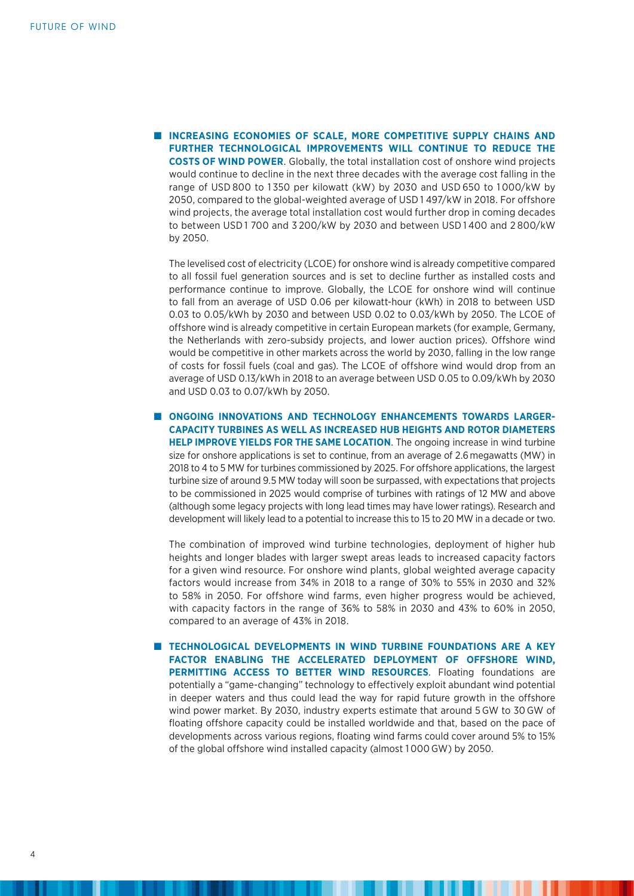**N INCREASING ECONOMIES OF SCALE, MORE COMPETITIVE SUPPLY CHAINS AND FURTHER TECHNOLOGICAL IMPROVEMENTS WILL CONTINUE TO REDUCE THE COSTS OF WIND POWER**. Globally, the total installation cost of onshore wind projects would continue to decline in the next three decades with the average cost falling in the range of USD 800 to 1350 per kilowatt (kW) by 2030 and USD 650 to 1000/kW by 2050, compared to the global-weighted average of USD 1 497/kW in 2018. For offshore wind projects, the average total installation cost would further drop in coming decades to between USD 1 700 and 3 200/kW by 2030 and between USD 1 400 and 2 800/kW by 2050.

 The levelised cost of electricity (LCOE) for onshore wind is already competitive compared to all fossil fuel generation sources and is set to decline further as installed costs and performance continue to improve. Globally, the LCOE for onshore wind will continue to fall from an average of USD 0.06 per kilowatt-hour (kWh) in 2018 to between USD 0.03 to 0.05/kWh by 2030 and between USD 0.02 to 0.03/kWh by 2050. The LCOE of offshore wind is already competitive in certain European markets (for example, Germany, the Netherlands with zero-subsidy projects, and lower auction prices). Offshore wind would be competitive in other markets across the world by 2030, falling in the low range of costs for fossil fuels (coal and gas). The LCOE of offshore wind would drop from an average of USD 0.13/kWh in 2018 to an average between USD 0.05 to 0.09/kWh by 2030 and USD 0.03 to 0.07/kWh by 2050.

n **ONGOING INNOVATIONS AND TECHNOLOGY ENHANCEMENTS TOWARDS LARGER-CAPACITY TURBINES AS WELL AS INCREASED HUB HEIGHTS AND ROTOR DIAMETERS HELP IMPROVE YIELDS FOR THE SAME LOCATION**. The ongoing increase in wind turbine size for onshore applications is set to continue, from an average of 2.6 megawatts (MW) in 2018 to 4 to 5 MW for turbines commissioned by 2025. For offshore applications, the largest turbine size of around 9.5 MW today will soon be surpassed, with expectations that projects to be commissioned in 2025 would comprise of turbines with ratings of 12 MW and above (although some legacy projects with long lead times may have lower ratings). Research and development will likely lead to a potential to increase this to 15 to 20 MW in a decade or two.

The combination of improved wind turbine technologies, deployment of higher hub heights and longer blades with larger swept areas leads to increased capacity factors for a given wind resource. For onshore wind plants, global weighted average capacity factors would increase from 34% in 2018 to a range of 30% to 55% in 2030 and 32% to 58% in 2050. For offshore wind farms, even higher progress would be achieved, with capacity factors in the range of 36% to 58% in 2030 and 43% to 60% in 2050, compared to an average of 43% in 2018.

**n** TECHNOLOGICAL DEVELOPMENTS IN WIND TURBINE FOUNDATIONS ARE A KEY **FACTOR ENABLING THE ACCELERATED DEPLOYMENT OF OFFSHORE WIND, PERMITTING ACCESS TO BETTER WIND RESOURCES**. Floating foundations are potentially a "game-changing" technology to effectively exploit abundant wind potential in deeper waters and thus could lead the way for rapid future growth in the offshore wind power market. By 2030, industry experts estimate that around 5GW to 30 GW of floating offshore capacity could be installed worldwide and that, based on the pace of developments across various regions, floating wind farms could cover around 5% to 15% of the global offshore wind installed capacity (almost 1 000 GW) by 2050.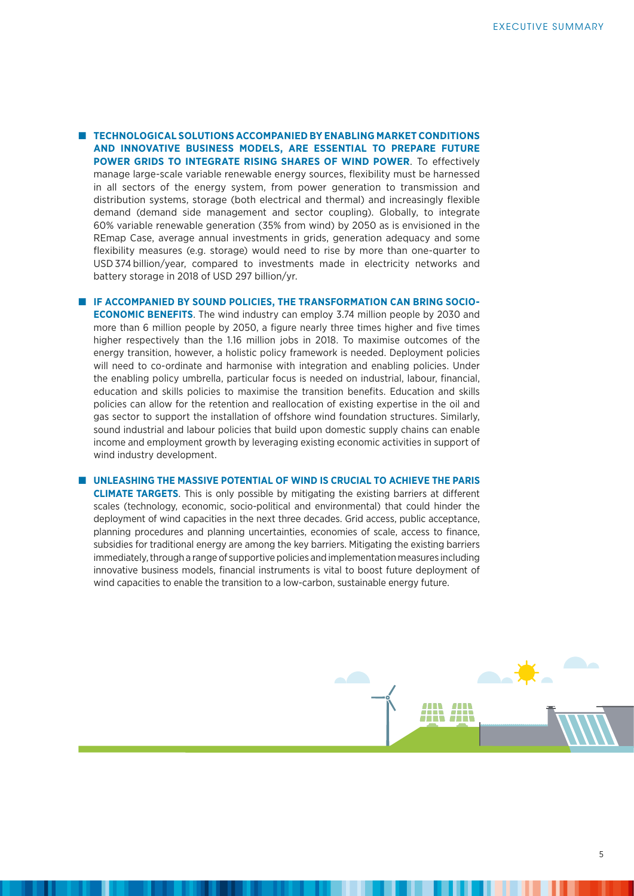**n TECHNOLOGICAL SOLUTIONS ACCOMPANIED BY ENABLING MARKET CONDITIONS AND INNOVATIVE BUSINESS MODELS, ARE ESSENTIAL TO PREPARE FUTURE POWER GRIDS TO INTEGRATE RISING SHARES OF WIND POWER**. To effectively manage large-scale variable renewable energy sources, flexibility must be harnessed in all sectors of the energy system, from power generation to transmission and distribution systems, storage (both electrical and thermal) and increasingly flexible demand (demand side management and sector coupling). Globally, to integrate 60% variable renewable generation (35% from wind) by 2050 as is envisioned in the REmap Case, average annual investments in grids, generation adequacy and some flexibility measures (e.g. storage) would need to rise by more than one-quarter to USD374 billion/year, compared to investments made in electricity networks and battery storage in 2018 of USD 297 billion/yr.

**E IF ACCOMPANIED BY SOUND POLICIES. THE TRANSFORMATION CAN BRING SOCIO-ECONOMIC BENEFITS**. The wind industry can employ 3.74 million people by 2030 and more than 6 million people by 2050, a figure nearly three times higher and five times higher respectively than the 1.16 million jobs in 2018. To maximise outcomes of the energy transition, however, a holistic policy framework is needed. Deployment policies will need to co-ordinate and harmonise with integration and enabling policies. Under the enabling policy umbrella, particular focus is needed on industrial, labour, financial, education and skills policies to maximise the transition benefits. Education and skills policies can allow for the retention and reallocation of existing expertise in the oil and gas sector to support the installation of offshore wind foundation structures. Similarly, sound industrial and labour policies that build upon domestic supply chains can enable income and employment growth by leveraging existing economic activities in support of wind industry development.

#### n **UNLEASHING THE MASSIVE POTENTIAL OF WIND IS CRUCIAL TO ACHIEVE THE PARIS**

**CLIMATE TARGETS**. This is only possible by mitigating the existing barriers at different scales (technology, economic, socio-political and environmental) that could hinder the deployment of wind capacities in the next three decades. Grid access, public acceptance, planning procedures and planning uncertainties, economies of scale, access to finance, subsidies for traditional energy are among the key barriers. Mitigating the existing barriers immediately, through a range of supportive policies and implementation measures including innovative business models, financial instruments is vital to boost future deployment of wind capacities to enable the transition to a low-carbon, sustainable energy future.

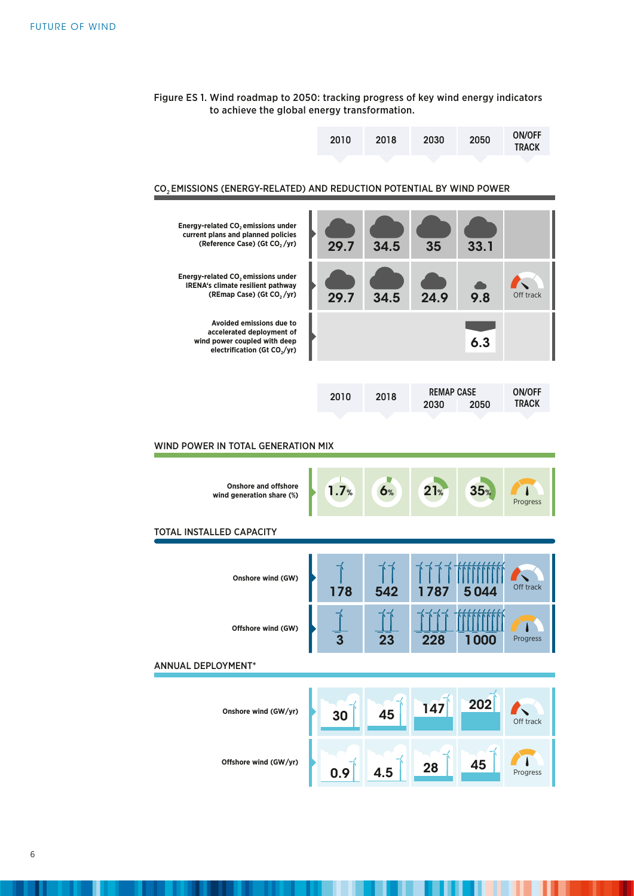| Figure ES 1. Wind roadmap to 2050: tracking progress of key wind energy indicators |  |
|------------------------------------------------------------------------------------|--|
| to achieve the global energy transformation.                                       |  |

| 2010 | <b>ON/OFF</b> |
|------|---------------|
| 2030 | 2050          |
| 2018 | <b>TRACK</b>  |

# CO2 EMISSIONS (ENERGY-RELATED) AND REDUCTION POTENTIAL BY WIND POWER

| <b>Energy-related CO, emissions under</b><br>current plans and planned policies<br>(Reference Case) (Gt CO, /yr)                  | 29.7 | 34.5 | 35                        | 33.1 |                               |
|-----------------------------------------------------------------------------------------------------------------------------------|------|------|---------------------------|------|-------------------------------|
| <b>Energy-related CO, emissions under</b><br><b>IRENA's climate resilient pathway</b><br>(REmap Case) (Gt CO <sub>2</sub> /yr)    | 29.7 | 34.5 | 24.9                      | 9.8  | Off track                     |
| Avoided emissions due to<br>accelerated deployment of<br>wind power coupled with deep<br>electrification (Gt CO <sub>2</sub> /yr) |      |      |                           | 6.3  |                               |
|                                                                                                                                   |      |      |                           |      |                               |
|                                                                                                                                   | 2010 | 2018 | <b>REMAP CASE</b><br>2030 | 2050 | <b>ON/OFF</b><br><b>TRACK</b> |

### WIND POWER IN TOTAL GENERATION MIX

| <b>Onshore and offshore</b><br>wind generation share (%) | 1.7%                        | 6%  | 21%  | 35 <sub>%</sub> | Progress  |
|----------------------------------------------------------|-----------------------------|-----|------|-----------------|-----------|
| <b>TOTAL INSTALLED CAPACITY</b>                          |                             |     |      |                 |           |
| Onshore wind (GW)                                        | 178                         | 542 | 1787 | 5044            | Off track |
| Offshore wind (GW)                                       | $\overline{\overset{2}{3}}$ | 23  | 228  | 1000            | Progress  |
| <b>ANNUAL DEPLOYMENT*</b>                                |                             |     |      |                 |           |
| Onshore wind (GW/yr)                                     | 30                          | 45  | 147  | 202             | Off track |
| Offshore wind (GW/yr)                                    | 0.9                         | 4.5 | 28   | 45              | Progress  |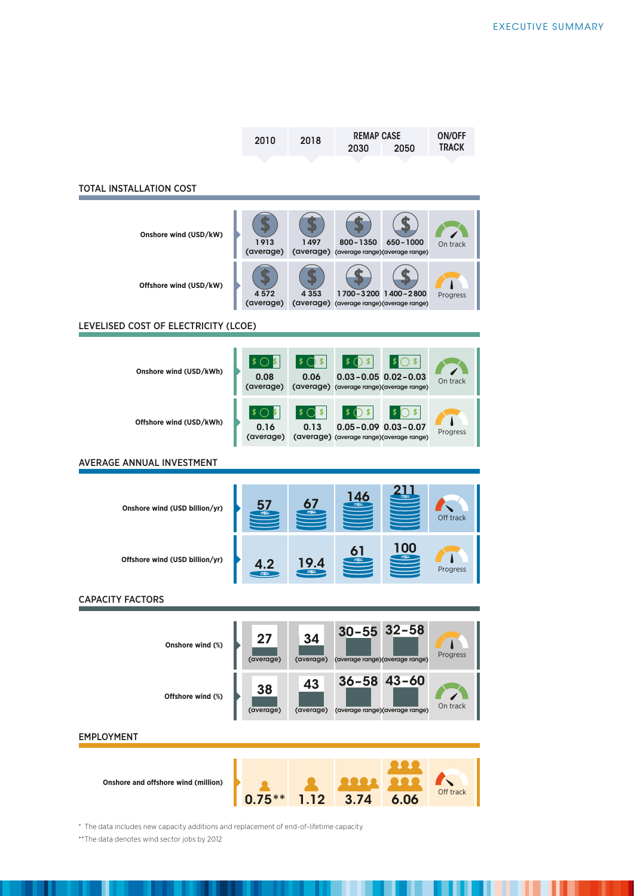| 2010 | 2018 | <b>REMAP CASE</b> | <b>ON/OFF</b> |              |
|------|------|-------------------|---------------|--------------|
|      |      | 2030              | 2050          | <b>TRACK</b> |
|      |      |                   |               |              |

#### TOTAL INSTALLATION COST

| Onshore wind (USD/kW)                | 1913<br>1497<br>$800 - 1350$<br>650-1000<br>On track<br>(average)<br>(average) (average range) (average range)                                            |  |
|--------------------------------------|-----------------------------------------------------------------------------------------------------------------------------------------------------------|--|
| Offshore wind (USD/kW)               | 1700-3200 1400-2800<br>4 353<br>4 572<br>Progress<br>(average)<br>(average) (average range) (average range)                                               |  |
| LEVELISED COST OF ELECTRICITY (LCOE) |                                                                                                                                                           |  |
|                                      |                                                                                                                                                           |  |
| Onshore wind (USD/kWh)               | \$<br>\$.<br>0.08<br>0.06<br>$0.03 - 0.05$ $0.02 - 0.03$<br>On track<br>(average)<br>(average) (average range) (average range)                            |  |
| Offshore wind (USD/kWh)              | ) \$<br>\$<br>$\sqrt{ }$<br>\$.<br>S<br>$0.05 - 0.09$ $0.03 - 0.07$<br>0.16<br>0.13<br>Progress<br>(average)<br>(average) (average range) (average range) |  |
| <b>AVERAGE ANNUAL INVESTMENT</b>     |                                                                                                                                                           |  |
|                                      |                                                                                                                                                           |  |
| Onshore wind (USD billion/yr)        | Off track                                                                                                                                                 |  |
|                                      |                                                                                                                                                           |  |
| Offshore wind (USD billion/yr)       | IIOIO<br>Progress                                                                                                                                         |  |
| <b>CAPACITY FACTORS</b>              |                                                                                                                                                           |  |
|                                      |                                                                                                                                                           |  |
| Onshore wind (%)                     | $30 - 55$ 32-58<br>27<br>34<br>Progress<br>(average)<br>(average)<br>(average range) (average range)                                                      |  |

EMPLOYMENT

**Onshore and offshore wind (million)** 



(average) (average range) (average range)

On track

\* The data includes new capacity additions and replacement of end-of-lifetime capacity

(average)

(average)

(average)

\*\*The data denotes wind sector jobs by 2012